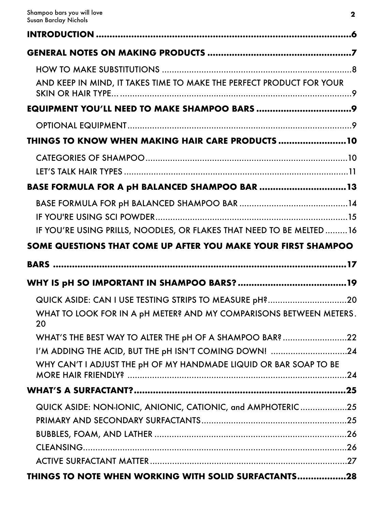| AND KEEP IN MIND, IT TAKES TIME TO MAKE THE PERFECT PRODUCT FOR YOUR                                                       |
|----------------------------------------------------------------------------------------------------------------------------|
|                                                                                                                            |
|                                                                                                                            |
| THINGS TO KNOW WHEN MAKING HAIR CARE PRODUCTS 10                                                                           |
|                                                                                                                            |
| BASE FORMULA FOR A pH BALANCED SHAMPOO BAR 13                                                                              |
|                                                                                                                            |
| IF YOU'RE USING PRILLS, NOODLES, OR FLAKES THAT NEED TO BE MELTED 16                                                       |
| SOME QUESTIONS THAT COME UP AFTER YOU MAKE YOUR FIRST SHAMPOO                                                              |
| BARS …………………………………………………………………………………………17                                                                                  |
|                                                                                                                            |
| QUICK ASIDE: CAN I USE TESTING STRIPS TO MEASURE pH?20                                                                     |
| WHAT TO LOOK FOR IN A pH METER? AND MY COMPARISONS BETWEEN METERS.<br>20                                                   |
| WHAT'S THE BEST WAY TO ALTER THE pH OF A SHAMPOO BAR? 22                                                                   |
| I'M ADDING THE ACID, BUT THE pH ISN'T COMING DOWN! 24<br>WHY CAN'T I ADJUST THE pH OF MY HANDMADE LIQUID OR BAR SOAP TO BE |
|                                                                                                                            |
| QUICK ASIDE: NON-IONIC, ANIONIC, CATIONIC, and AMPHOTERIC25                                                                |
|                                                                                                                            |
|                                                                                                                            |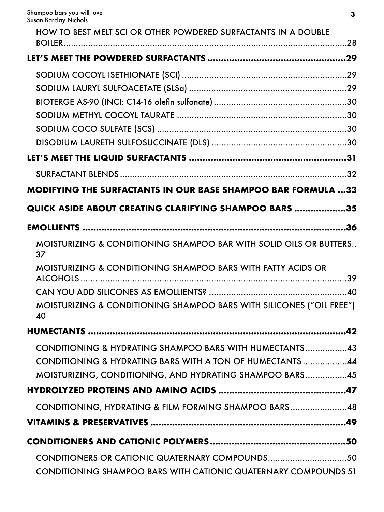| HOW TO BEST MELT SCI OR OTHER POWDERED SURFACTANTS IN A DOUBLE             |
|----------------------------------------------------------------------------|
|                                                                            |
|                                                                            |
|                                                                            |
|                                                                            |
|                                                                            |
|                                                                            |
|                                                                            |
|                                                                            |
|                                                                            |
|                                                                            |
| <b>MODIFYING THE SURFACTANTS IN OUR BASE SHAMPOO BAR FORMULA 33</b>        |
| <b>QUICK ASIDE ABOUT CREATING CLARIFYING SHAMPOO BARS 35</b>               |
|                                                                            |
| MOISTURIZING & CONDITIONING SHAMPOO BAR WITH SOLID OILS OR BUTTERS<br>37   |
| MOISTURIZING & CONDITIONING SHAMPOO BARS WITH FATTY ACIDS OR               |
|                                                                            |
| MOISTURIZING & CONDITIONING SHAMPOO BARS WITH SILICONES ("OIL FREE")<br>40 |
|                                                                            |
| CONDITIONING & HYDRATING SHAMPOO BARS WITH HUMECTANTS43                    |
| CONDITIONING & HYDRATING BARS WITH A TON OF HUMECTANTS44                   |
| MOISTURIZING, CONDITIONING, AND HYDRATING SHAMPOO BARS45                   |
|                                                                            |
| CONDITIONING, HYDRATING & FILM FORMING SHAMPOO BARS48                      |
|                                                                            |
|                                                                            |
| CONDITIONING SHAMPOO BARS WITH CATIONIC QUATERNARY COMPOUNDS 51            |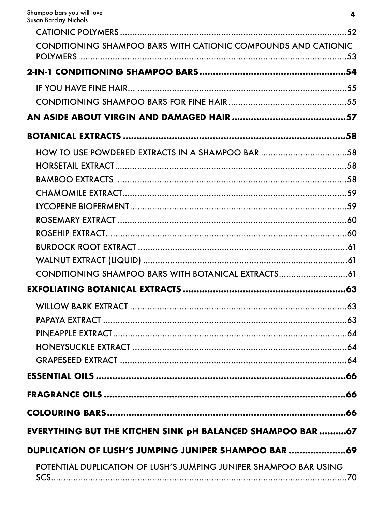| CONDITIONING SHAMPOO BARS WITH CATIONIC COMPOUNDS AND CATIONIC            |     |
|---------------------------------------------------------------------------|-----|
|                                                                           |     |
|                                                                           |     |
|                                                                           |     |
|                                                                           |     |
|                                                                           |     |
|                                                                           |     |
|                                                                           |     |
|                                                                           |     |
|                                                                           |     |
|                                                                           |     |
|                                                                           |     |
|                                                                           |     |
|                                                                           |     |
|                                                                           |     |
|                                                                           |     |
|                                                                           |     |
|                                                                           |     |
|                                                                           |     |
|                                                                           |     |
|                                                                           |     |
|                                                                           |     |
|                                                                           |     |
|                                                                           |     |
|                                                                           |     |
| <b>EVERYTHING BUT THE KITCHEN SINK pH BALANCED SHAMPOO BAR 67</b>         |     |
| DUPLICATION OF LUSH'S JUMPING JUNIPER SHAMPOO BAR 69                      |     |
| POTENTIAL DUPLICATION OF LUSH'S JUMPING JUNIPER SHAMPOO BAR USING<br>SCS. | .70 |